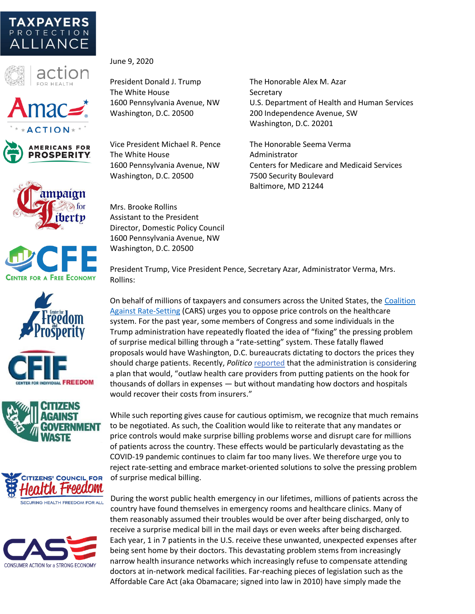



June 9, 2020

President Donald J. Trump The Honorable Alex M. Azar The White House Secretary



 $ACTION*$ 















Vice President Michael R. Pence The Honorable Seema Verma The White House **Administrator** Washington, D.C. 20500 7500 Security Boulevard

1600 Pennsylvania Avenue, NW U.S. Department of Health and Human Services Washington, D.C. 20500 200 Independence Avenue, SW Washington, D.C. 20201

1600 Pennsylvania Avenue, NW Centers for Medicare and Medicaid Services Baltimore, MD 21244

Mrs. Brooke Rollins Assistant to the President Director, Domestic Policy Council 1600 Pennsylvania Avenue, NW Washington, D.C. 20500

President Trump, Vice President Pence, Secretary Azar, Administrator Verma, Mrs. Rollins:

On behalf of millions of taxpayers and consumers across the United States, the [Coalition](http://noratesetting.org/)  [Against Rate-Setting](http://noratesetting.org/) (CARS) urges you to oppose price controls on the healthcare system. For the past year, some members of Congress and some individuals in the Trump administration have repeatedly floated the idea of "fixing" the pressing problem of surprise medical billing through a "rate-setting" system. These fatally flawed proposals would have Washington, D.C. bureaucrats dictating to doctors the prices they should charge patients. Recently, *Politico* [reported](https://www.politico.com/news/2020/05/27/white-house-surprise-billing-healthcare-coronavirus-rescue-285780) that the administration is considering a plan that would, "outlaw health care providers from putting patients on the hook for thousands of dollars in expenses — but without mandating how doctors and hospitals would recover their costs from insurers."

While such reporting gives cause for cautious optimism, we recognize that much remains to be negotiated. As such, the Coalition would like to reiterate that any mandates or price controls would make surprise billing problems worse and disrupt care for millions of patients across the country. These effects would be particularly devastating as the COVID-19 pandemic continues to claim far too many lives. We therefore urge you to reject rate-setting and embrace market-oriented solutions to solve the pressing problem of surprise medical billing.

During the worst public health emergency in our lifetimes, millions of patients across the country have found themselves in emergency rooms and healthcare clinics. Many of them reasonably assumed their troubles would be over after being discharged, only to receive a surprise medical bill in the mail days or even weeks after being discharged. Each year, 1 in 7 patients in the U.S. receive these unwanted, unexpected expenses after being sent home by their doctors. This devastating problem stems from increasingly narrow health insurance networks which increasingly refuse to compensate attending doctors at in-network medical facilities. Far-reaching pieces of legislation such as the Affordable Care Act (aka Obamacare; signed into law in 2010) have simply made the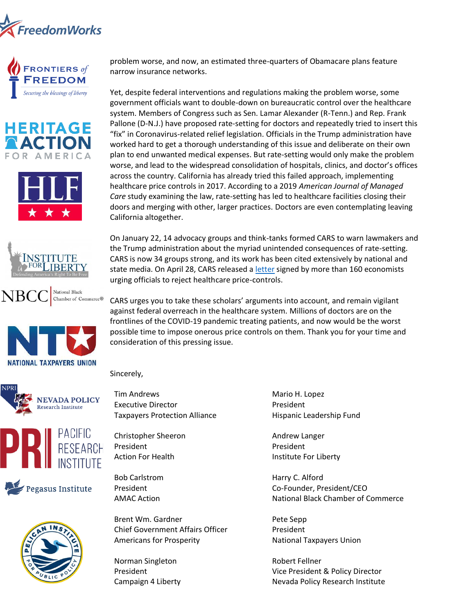













problem worse, and now, an estimated three-quarters of Obamacare plans feature narrow insurance networks.

Yet, despite federal interventions and regulations making the problem worse, some government officials want to double-down on bureaucratic control over the healthcare system. Members of Congress such as Sen. Lamar Alexander (R-Tenn.) and Rep. Frank Pallone (D-N.J.) have proposed rate-setting for doctors and repeatedly tried to insert this "fix" in Coronavirus-related relief legislation. Officials in the Trump administration have worked hard to get a thorough understanding of this issue and deliberate on their own plan to end unwanted medical expenses. But rate-setting would only make the problem worse, and lead to the widespread consolidation of hospitals, clinics, and doctor's offices across the country. California has already tried this failed approach, implementing healthcare price controls in 2017. According to a 2019 *American Journal of Managed Care* study examining the law, rate-setting has led to healthcare facilities closing their doors and merging with other, larger practices. Doctors are even contemplating leaving California altogether.

On January 22, 14 advocacy groups and think-tanks formed CARS to warn lawmakers and the Trump administration about the myriad unintended consequences of rate-setting. CARS is now 34 groups strong, and its work has been cited extensively by national and state media. On April 28, CARS released a [letter](https://www.protectingtaxpayers.org/wp-content/uploads/Economist-Letter.pdf) signed by more than 160 economists urging officials to reject healthcare price-controls.

CARS urges you to take these scholars' arguments into account, and remain vigilant against federal overreach in the healthcare system. Millions of doctors are on the frontlines of the COVID-19 pandemic treating patients, and now would be the worst possible time to impose onerous price controls on them. Thank you for your time and consideration of this pressing issue.

Sincerely,









Tim Andrews Executive Director Taxpayers Protection Alliance

Christopher Sheeron President Action For Health

Bob Carlstrom President AMAC Action

Brent Wm. Gardner Chief Government Affairs Officer Americans for Prosperity

Norman Singleton President Campaign 4 Liberty Mario H. Lopez President Hispanic Leadership Fund

Andrew Langer President Institute For Liberty

Harry C. Alford Co-Founder, President/CEO National Black Chamber of Commerce

Pete Sepp President National Taxpayers Union

Robert Fellner Vice President & Policy Director Nevada Policy Research Institute